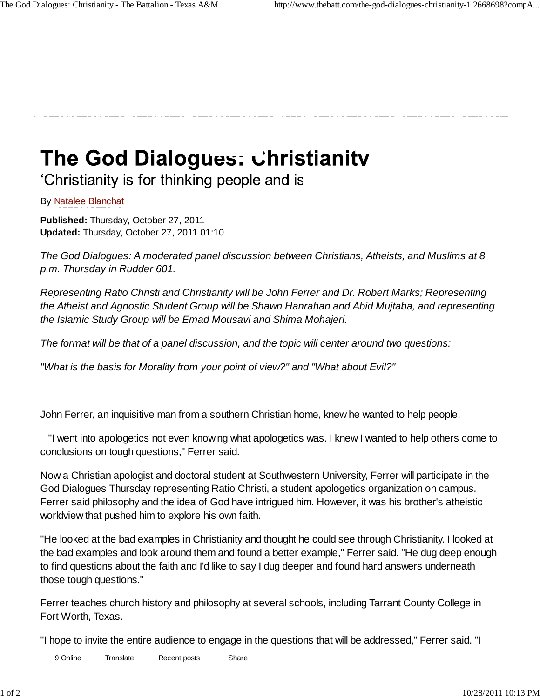## The God Dialogues: Christianitv

'Christianity is for thinking people and is

## By Natalee Blanchat

**Published:** Thursday, October 27, 2011 **Updated:** Thursday, October 27, 2011 01:10

*The God Dialogues: A moderated panel discussion between Christians, Atheists, and Muslims at 8 p.m. Thursday in Rudder 601.*

*Representing Ratio Christi and Christianity will be John Ferrer and Dr. Robert Marks; Representing the Atheist and Agnostic Student Group will be Shawn Hanrahan and Abid Mujtaba, and representing the Islamic Study Group will be Emad Mousavi and Shima Mohajeri.*

*The format will be that of a panel discussion, and the topic will center around two questions:*

*"What is the basis for Morality from your point of view?" and "What about Evil?"* 

John Ferrer, an inquisitive man from a southern Christian home, knew he wanted to help people.

 "I went into apologetics not even knowing what apologetics was. I knew I wanted to help others come to conclusions on tough questions," Ferrer said.

Now a Christian apologist and doctoral student at Southwestern University, Ferrer will participate in the God Dialogues Thursday representing Ratio Christi, a student apologetics organization on campus. Ferrer said philosophy and the idea of God have intrigued him. However, it was his brother's atheistic worldview that pushed him to explore his own faith.

"He looked at the bad examples in Christianity and thought he could see through Christianity. I looked at the bad examples and look around them and found a better example," Ferrer said. "He dug deep enough to find questions about the faith and I'd like to say I dug deeper and found hard answers underneath those tough questions."

Ferrer teaches church history and philosophy at several schools, including Tarrant County College in Fort Worth, Texas.

"I hope to invite the entire audience to engage in the questions that will be addressed," Ferrer said. "I

want thoughtful represent thoughtful represent what the same to say that was the Share Share Translate Recent posts Share Share Translate Recent posts Share Share Share Share Share Share Share Share Share Share Share Share